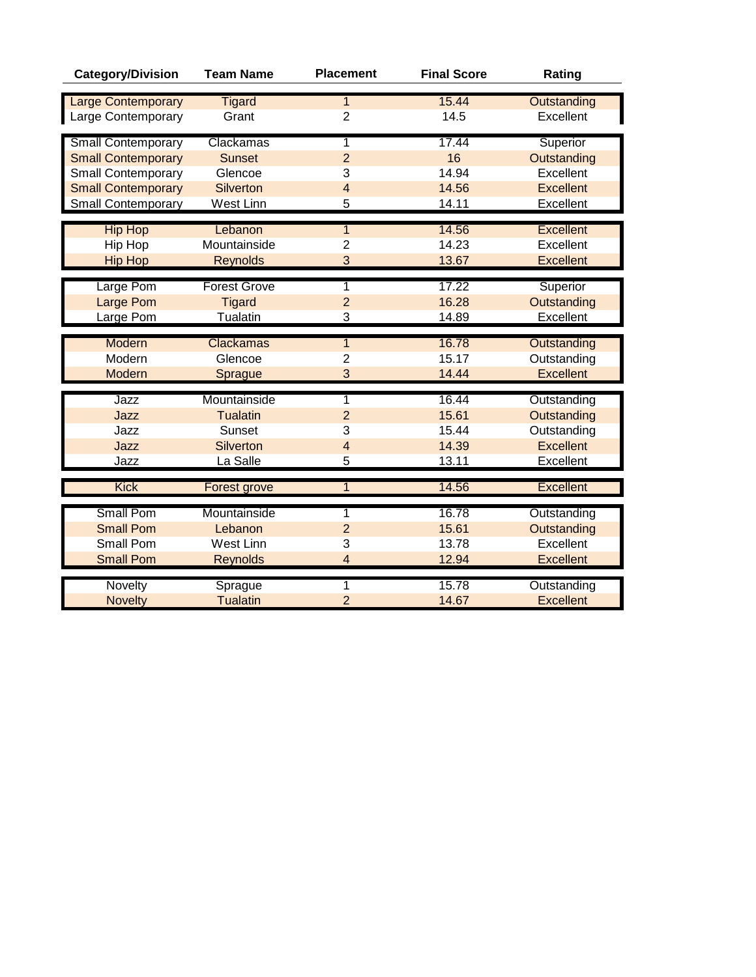| <b>Category/Division</b>  | <b>Team Name</b>    | <b>Placement</b>        | <b>Final Score</b> | Rating           |
|---------------------------|---------------------|-------------------------|--------------------|------------------|
| <b>Large Contemporary</b> | <b>Tigard</b>       | $\overline{1}$          | 15.44              | Outstanding      |
| Large Contemporary        | Grant               | $\overline{2}$          | 14.5               | Excellent        |
|                           |                     |                         |                    |                  |
| <b>Small Contemporary</b> | Clackamas           | 1                       | 17.44              | Superior         |
| <b>Small Contemporary</b> | <b>Sunset</b>       | $\overline{2}$          | 16                 | Outstanding      |
| <b>Small Contemporary</b> | Glencoe             | 3                       | 14.94              | Excellent        |
| <b>Small Contemporary</b> | <b>Silverton</b>    | $\overline{4}$          | 14.56              | <b>Excellent</b> |
| <b>Small Contemporary</b> | West Linn           | 5                       | 14.11              | Excellent        |
|                           |                     |                         |                    |                  |
| <b>Hip Hop</b>            | Lebanon             | $\overline{1}$          | 14.56              | <b>Excellent</b> |
| Hip Hop                   | Mountainside        | $\overline{2}$          | 14.23              | Excellent        |
| <b>Hip Hop</b>            | <b>Reynolds</b>     | 3                       | 13.67              | <b>Excellent</b> |
| Large Pom                 | <b>Forest Grove</b> | 1                       | 17.22              | Superior         |
| <b>Large Pom</b>          | <b>Tigard</b>       | $\overline{2}$          | 16.28              | Outstanding      |
| Large Pom                 | <b>Tualatin</b>     | $\overline{3}$          | 14.89              | Excellent        |
|                           |                     |                         |                    |                  |
| Modern                    | Clackamas           | $\overline{1}$          | 16.78              | Outstanding      |
| Modern                    | Glencoe             | $\overline{2}$          | 15.17              | Outstanding      |
| Modern                    | Sprague             | 3                       | 14.44              | <b>Excellent</b> |
|                           |                     |                         |                    |                  |
| Jazz                      | Mountainside        | 1                       | 16.44              | Outstanding      |
| Jazz                      | <b>Tualatin</b>     | $\overline{2}$          | 15.61              | Outstanding      |
| Jazz                      | <b>Sunset</b>       | 3                       | 15.44              | Outstanding      |
| Jazz                      | <b>Silverton</b>    | $\overline{4}$          | 14.39              | <b>Excellent</b> |
| Jazz                      | La Salle            | 5                       | 13.11              | Excellent        |
| <b>Kick</b>               | <b>Forest grove</b> | 1                       | 14.56              | <b>Excellent</b> |
| <b>Small Pom</b>          | Mountainside        | 1                       | 16.78              | Outstanding      |
| <b>Small Pom</b>          | Lebanon             | $\overline{2}$          | 15.61              | Outstanding      |
| <b>Small Pom</b>          | <b>West Linn</b>    | 3                       | 13.78              | Excellent        |
| <b>Small Pom</b>          | <b>Reynolds</b>     | $\overline{\mathbf{4}}$ | 12.94              | <b>Excellent</b> |
|                           |                     |                         |                    |                  |
| Novelty                   | Sprague             | 1                       | 15.78              | Outstanding      |
| <b>Novelty</b>            | <b>Tualatin</b>     | $\overline{2}$          | 14.67              | <b>Excellent</b> |